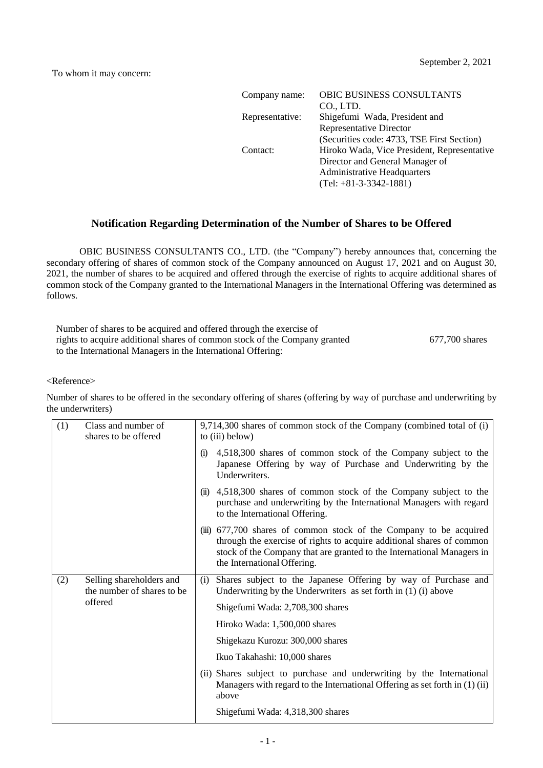| OBIC BUSINESS CONSULTANTS                   |
|---------------------------------------------|
| CO., LTD.                                   |
| Shigefumi Wada, President and               |
| <b>Representative Director</b>              |
| (Securities code: 4733, TSE First Section)  |
| Hiroko Wada, Vice President, Representative |
| Director and General Manager of             |
| <b>Administrative Headquarters</b>          |
| $(Tel: +81-3-3342-1881)$                    |
|                                             |

## **Notification Regarding Determination of the Number of Shares to be Offered**

OBIC BUSINESS CONSULTANTS CO., LTD. (the "Company") hereby announces that, concerning the secondary offering of shares of common stock of the Company announced on August 17, 2021 and on August 30, 2021, the number of shares to be acquired and offered through the exercise of rights to acquire additional shares of common stock of the Company granted to the International Managers in the International Offering was determined as follows.

| Number of shares to be acquired and offered through the exercise of        |                |
|----------------------------------------------------------------------------|----------------|
| rights to acquire additional shares of common stock of the Company granted | 677,700 shares |
| to the International Managers in the International Offering:               |                |

## <Reference>

Number of shares to be offered in the secondary offering of shares (offering by way of purchase and underwriting by the underwriters)

| (1) | Class and number of<br>shares to be offered            | 9,714,300 shares of common stock of the Company (combined total of (i)<br>to (iii) below)                                                                                                                                                            |  |
|-----|--------------------------------------------------------|------------------------------------------------------------------------------------------------------------------------------------------------------------------------------------------------------------------------------------------------------|--|
|     |                                                        | 4,518,300 shares of common stock of the Company subject to the<br>(i)<br>Japanese Offering by way of Purchase and Underwriting by the<br>Underwriters.                                                                                               |  |
|     |                                                        | 4,518,300 shares of common stock of the Company subject to the<br>$\ddot{\mathbf{u}}$<br>purchase and underwriting by the International Managers with regard<br>to the International Offering.                                                       |  |
|     |                                                        | (iii) 677,700 shares of common stock of the Company to be acquired<br>through the exercise of rights to acquire additional shares of common<br>stock of the Company that are granted to the International Managers in<br>the International Offering. |  |
| (2) | Selling shareholders and<br>the number of shares to be | Shares subject to the Japanese Offering by way of Purchase and<br>(i)<br>Underwriting by the Underwriters as set forth in $(1)$ (i) above                                                                                                            |  |
|     | offered                                                | Shigefumi Wada: 2,708,300 shares                                                                                                                                                                                                                     |  |
|     |                                                        | Hiroko Wada: 1,500,000 shares                                                                                                                                                                                                                        |  |
|     |                                                        | Shigekazu Kurozu: 300,000 shares                                                                                                                                                                                                                     |  |
|     |                                                        | Ikuo Takahashi: 10,000 shares                                                                                                                                                                                                                        |  |
|     |                                                        | (ii) Shares subject to purchase and underwriting by the International<br>Managers with regard to the International Offering as set forth in $(1)(ii)$<br>above                                                                                       |  |
|     |                                                        | Shigefumi Wada: 4,318,300 shares                                                                                                                                                                                                                     |  |